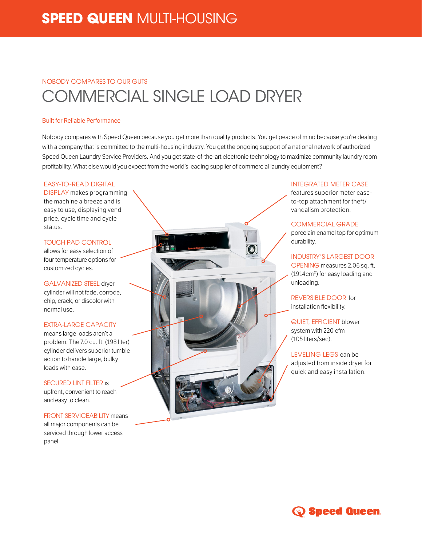# **SPEED QUEEN** MULTI-HOUSING

## NOBODY COMPARES TO OUR GUTS COMMERCIAL SINGLE LOAD DRYER

#### Built for Reliable Performance

Nobody compares with Speed Queen because you get more than quality products. You get peace of mind because you're dealing with a company that is committed to the multi-housing industry. You get the ongoing support of a national network of authorized Speed Queen Laundry Service Providers. And you get state-of-the-art electronic technology to maximize community laundry room profitability. What else would you expect from the world's leading supplier of commercial laundry equipment?

#### EASY-TO-READ DIGITAL

DISPLAY makes programming the machine a breeze and is easy to use, displaying vend price, cycle time and cycle status.

#### TOUCH PAD CONTROL

allows for easy selection of four temperature options for customized cycles.

GALVANIZED STEEL dryer cylinder will not fade, corrode, chip, crack, or discolor with normal use.

#### EXTRA-LARGE CAPACITY

means large loads aren't a problem. The 7.0 cu. ft. (198 liter) cylinder delivers superior tumble action to handle large, bulky loads with ease.

SECURED LINT FILTER is upfront, convenient to reach and easy to clean.

FRONT SERVICEABILITY means all major components can be serviced through lower access panel.



#### INTEGRATED METER CASE

features superior meter caseto-top attachment for theft/ vandalism protection.

#### COMMERCIAL GRADE

porcelain enamel top for optimum durability.

INDUSTRY'S LARGEST DOOR OPENING measures 2.06 sq. ft. (1914cm²) for easy loading and unloading.

REVERSIBLE DOOR for installation flexibility.

QUIET, EFFICIENT blower system with 220 cfm (105 liters/sec).

LEVELING LEGS can be adjusted from inside dryer for quick and easy installation.